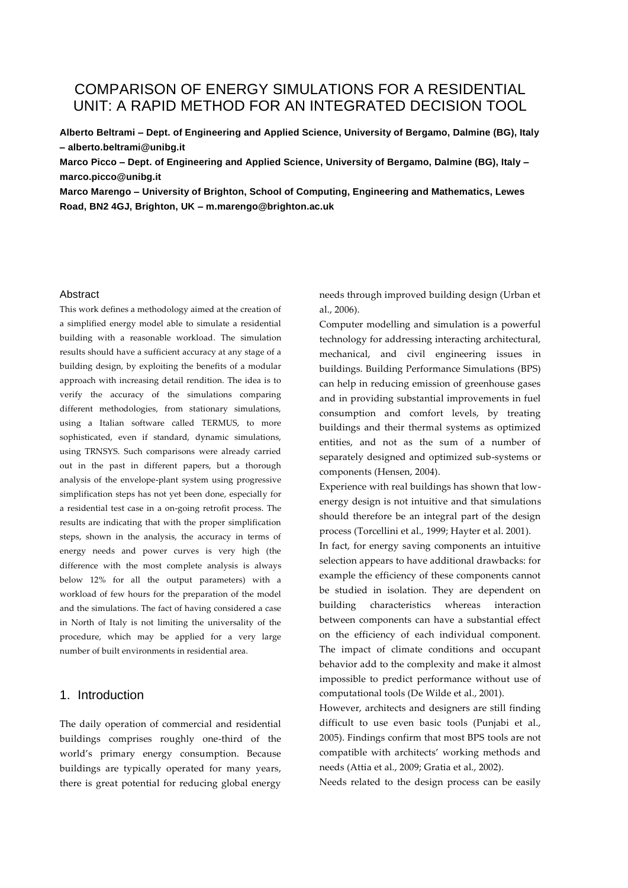# COMPARISON OF ENERGY SIMULATIONS FOR A RESIDENTIAL UNIT: A RAPID METHOD FOR AN INTEGRATED DECISION TOOL

**Alberto Beltrami – Dept. of Engineering and Applied Science, University of Bergamo, Dalmine (BG), Italy – alberto.beltrami@unibg.it**

**Marco Picco – Dept. of Engineering and Applied Science, University of Bergamo, Dalmine (BG), Italy – marco.picco@unibg.it** 

**Marco Marengo – University of Brighton, School of Computing, Engineering and Mathematics, Lewes Road, BN2 4GJ, Brighton, UK – m.marengo@brighton.ac.uk**

### Abstract

This work defines a methodology aimed at the creation of a simplified energy model able to simulate a residential building with a reasonable workload. The simulation results should have a sufficient accuracy at any stage of a building design, by exploiting the benefits of a modular approach with increasing detail rendition. The idea is to verify the accuracy of the simulations comparing different methodologies, from stationary simulations, using a Italian software called TERMUS, to more sophisticated, even if standard, dynamic simulations, using TRNSYS. Such comparisons were already carried out in the past in different papers, but a thorough analysis of the envelope-plant system using progressive simplification steps has not yet been done, especially for a residential test case in a on-going retrofit process. The results are indicating that with the proper simplification steps, shown in the analysis, the accuracy in terms of energy needs and power curves is very high (the difference with the most complete analysis is always below 12% for all the output parameters) with a workload of few hours for the preparation of the model and the simulations. The fact of having considered a case in North of Italy is not limiting the universality of the procedure, which may be applied for a very large number of built environments in residential area.

### 1. Introduction

The daily operation of commercial and residential buildings comprises roughly one-third of the world's primary energy consumption. Because buildings are typically operated for many years, there is great potential for reducing global energy needs through improved building design (Urban et al., 2006).

Computer modelling and simulation is a powerful technology for addressing interacting architectural, mechanical, and civil engineering issues in buildings. Building Performance Simulations (BPS) can help in reducing emission of greenhouse gases and in providing substantial improvements in fuel consumption and comfort levels, by treating buildings and their thermal systems as optimized entities, and not as the sum of a number of separately designed and optimized sub-systems or components (Hensen, 2004).

Experience with real buildings has shown that lowenergy design is not intuitive and that simulations should therefore be an integral part of the design process (Torcellini et al., 1999; Hayter et al. 2001).

In fact, for energy saving components an intuitive selection appears to have additional drawbacks: for example the efficiency of these components cannot be studied in isolation. They are dependent on building characteristics whereas interaction between components can have a substantial effect on the efficiency of each individual component. The impact of climate conditions and occupant behavior add to the complexity and make it almost impossible to predict performance without use of computational tools (De Wilde et al., 2001).

However, architects and designers are still finding difficult to use even basic tools (Punjabi et al., 2005). Findings confirm that most BPS tools are not compatible with architects' working methods and needs (Attia et al., 2009; Gratia et al., 2002).

Needs related to the design process can be easily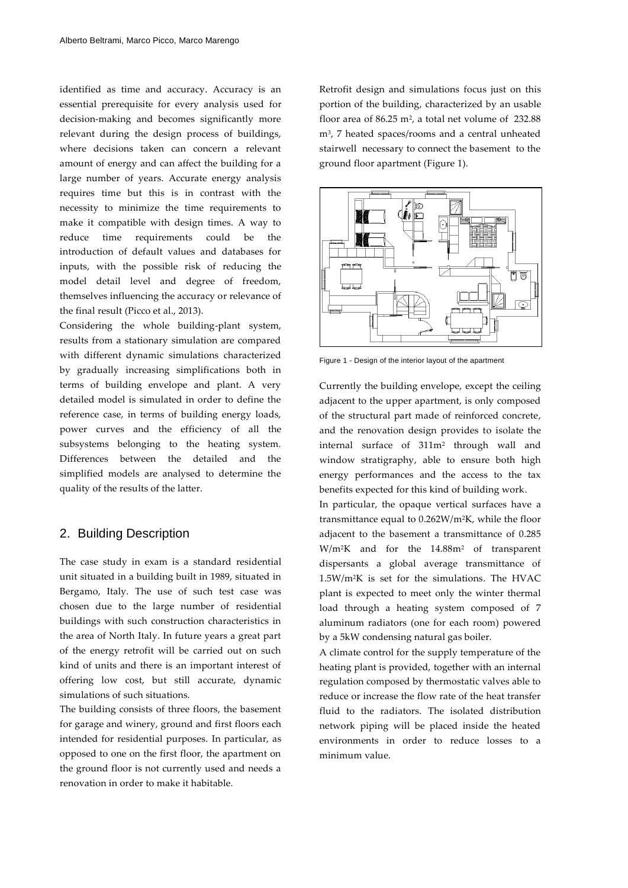identified as time and accuracy. Accuracy is an essential prerequisite for every analysis used for decision-making and becomes significantly more relevant during the design process of buildings, where decisions taken can concern a relevant amount of energy and can affect the building for a large number of years. Accurate energy analysis requires time but this is in contrast with the necessity to minimize the time requirements to make it compatible with design times. A way to reduce time requirements could be the introduction of default values and databases for inputs, with the possible risk of reducing the model detail level and degree of freedom, themselves influencing the accuracy or relevance of the final result (Picco et al., 2013).

Considering the whole building-plant system, results from a stationary simulation are compared with different dynamic simulations characterized by gradually increasing simplifications both in terms of building envelope and plant. A very detailed model is simulated in order to define the reference case, in terms of building energy loads, power curves and the efficiency of all the subsystems belonging to the heating system. Differences between the detailed and the simplified models are analysed to determine the quality of the results of the latter.

# 2. Building Description

The case study in exam is a standard residential unit situated in a building built in 1989, situated in Bergamo, Italy. The use of such test case was chosen due to the large number of residential buildings with such construction characteristics in the area of North Italy. In future years a great part of the energy retrofit will be carried out on such kind of units and there is an important interest of offering low cost, but still accurate, dynamic simulations of such situations.

The building consists of three floors, the basement for garage and winery, ground and first floors each intended for residential purposes. In particular, as opposed to one on the first floor, the apartment on the ground floor is not currently used and needs a renovation in order to make it habitable.

Retrofit design and simulations focus just on this portion of the building, characterized by an usable floor area of  $86.25 \text{ m}^2$ , a total net volume of  $232.88$ m<sup>3</sup> , 7 heated spaces/rooms and a central unheated stairwell necessary to connect the basement to the ground floor apartment (Figure 1).



Figure 1 - Design of the interior layout of the apartment

Currently the building envelope, except the ceiling adjacent to the upper apartment, is only composed of the structural part made of reinforced concrete, and the renovation design provides to isolate the internal surface of 311m<sup>2</sup> through wall and window stratigraphy, able to ensure both high energy performances and the access to the tax benefits expected for this kind of building work.

In particular, the opaque vertical surfaces have a transmittance equal to 0.262W/m2K, while the floor adjacent to the basement a transmittance of 0.285 W/m2K and for the 14.88m<sup>2</sup> of transparent dispersants a global average transmittance of 1.5W/m2K is set for the simulations. The HVAC plant is expected to meet only the winter thermal load through a heating system composed of 7 aluminum radiators (one for each room) powered by a 5kW condensing natural gas boiler.

A climate control for the supply temperature of the heating plant is provided, together with an internal regulation composed by thermostatic valves able to reduce or increase the flow rate of the heat transfer fluid to the radiators. The isolated distribution network piping will be placed inside the heated environments in order to reduce losses to a minimum value.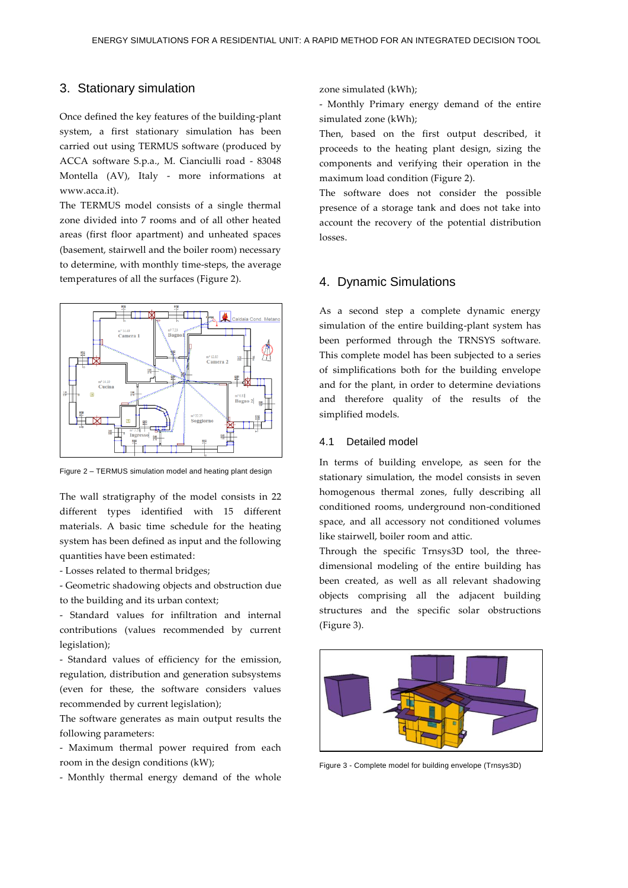### 3. Stationary simulation

Once defined the key features of the building-plant system, a first stationary simulation has been carried out using TERMUS software (produced by ACCA software S.p.a., M. Cianciulli road - 83048 Montella (AV), Italy - more informations at www.acca.it).

The TERMUS model consists of a single thermal zone divided into 7 rooms and of all other heated areas (first floor apartment) and unheated spaces (basement, stairwell and the boiler room) necessary to determine, with monthly time-steps, the average temperatures of all the surfaces (Figure 2).



Figure 2 – TERMUS simulation model and heating plant design

The wall stratigraphy of the model consists in 22 different types identified with 15 different materials. A basic time schedule for the heating system has been defined as input and the following quantities have been estimated:

- Losses related to thermal bridges;

- Geometric shadowing objects and obstruction due to the building and its urban context;

- Standard values for infiltration and internal contributions (values recommended by current legislation);

- Standard values of efficiency for the emission, regulation, distribution and generation subsystems (even for these, the software considers values recommended by current legislation);

The software generates as main output results the following parameters:

- Maximum thermal power required from each room in the design conditions (kW);

- Monthly thermal energy demand of the whole

zone simulated (kWh);

- Monthly Primary energy demand of the entire simulated zone (kWh);

Then, based on the first output described, it proceeds to the heating plant design, sizing the components and verifying their operation in the maximum load condition (Figure 2).

The software does not consider the possible presence of a storage tank and does not take into account the recovery of the potential distribution losses.

# 4. Dynamic Simulations

As a second step a complete dynamic energy simulation of the entire building-plant system has been performed through the TRNSYS software. This complete model has been subjected to a series of simplifications both for the building envelope and for the plant, in order to determine deviations and therefore quality of the results of the simplified models.

#### 4.1 Detailed model

In terms of building envelope, as seen for the stationary simulation, the model consists in seven homogenous thermal zones, fully describing all conditioned rooms, underground non-conditioned space, and all accessory not conditioned volumes like stairwell, boiler room and attic.

Through the specific Trnsys3D tool, the threedimensional modeling of the entire building has been created, as well as all relevant shadowing objects comprising all the adjacent building structures and the specific solar obstructions (Figure 3).



Figure 3 - Complete model for building envelope (Trnsys3D)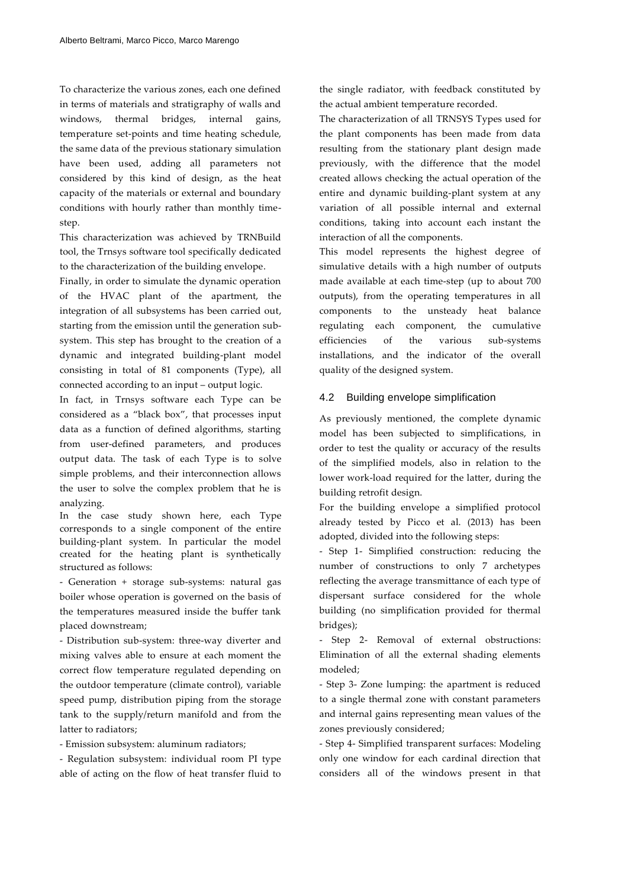To characterize the various zones, each one defined in terms of materials and stratigraphy of walls and windows, thermal bridges, internal gains, temperature set-points and time heating schedule, the same data of the previous stationary simulation have been used, adding all parameters not considered by this kind of design, as the heat capacity of the materials or external and boundary conditions with hourly rather than monthly timestep.

This characterization was achieved by TRNBuild tool, the Trnsys software tool specifically dedicated to the characterization of the building envelope.

Finally, in order to simulate the dynamic operation of the HVAC plant of the apartment, the integration of all subsystems has been carried out, starting from the emission until the generation subsystem. This step has brought to the creation of a dynamic and integrated building-plant model consisting in total of 81 components (Type), all connected according to an input – output logic.

In fact, in Trnsys software each Type can be considered as a "black box", that processes input data as a function of defined algorithms, starting from user-defined parameters, and produces output data. The task of each Type is to solve simple problems, and their interconnection allows the user to solve the complex problem that he is analyzing.

In the case study shown here, each Type corresponds to a single component of the entire building-plant system. In particular the model created for the heating plant is synthetically structured as follows:

- Generation + storage sub-systems: natural gas boiler whose operation is governed on the basis of the temperatures measured inside the buffer tank placed downstream;

- Distribution sub-system: three-way diverter and mixing valves able to ensure at each moment the correct flow temperature regulated depending on the outdoor temperature (climate control), variable speed pump, distribution piping from the storage tank to the supply/return manifold and from the latter to radiators;

- Emission subsystem: aluminum radiators;

- Regulation subsystem: individual room PI type able of acting on the flow of heat transfer fluid to the single radiator, with feedback constituted by the actual ambient temperature recorded.

The characterization of all TRNSYS Types used for the plant components has been made from data resulting from the stationary plant design made previously, with the difference that the model created allows checking the actual operation of the entire and dynamic building-plant system at any variation of all possible internal and external conditions, taking into account each instant the interaction of all the components.

This model represents the highest degree of simulative details with a high number of outputs made available at each time-step (up to about 700 outputs), from the operating temperatures in all components to the unsteady heat balance regulating each component, the cumulative efficiencies of the various sub-systems installations, and the indicator of the overall quality of the designed system.

### 4.2 Building envelope simplification

As previously mentioned, the complete dynamic model has been subjected to simplifications, in order to test the quality or accuracy of the results of the simplified models, also in relation to the lower work-load required for the latter, during the building retrofit design.

For the building envelope a simplified protocol already tested by Picco et al. (2013) has been adopted, divided into the following steps:

- Step 1- Simplified construction: reducing the number of constructions to only 7 archetypes reflecting the average transmittance of each type of dispersant surface considered for the whole building (no simplification provided for thermal bridges);

- Step 2- Removal of external obstructions: Elimination of all the external shading elements modeled;

- Step 3- Zone lumping: the apartment is reduced to a single thermal zone with constant parameters and internal gains representing mean values of the zones previously considered;

- Step 4- Simplified transparent surfaces: Modeling only one window for each cardinal direction that considers all of the windows present in that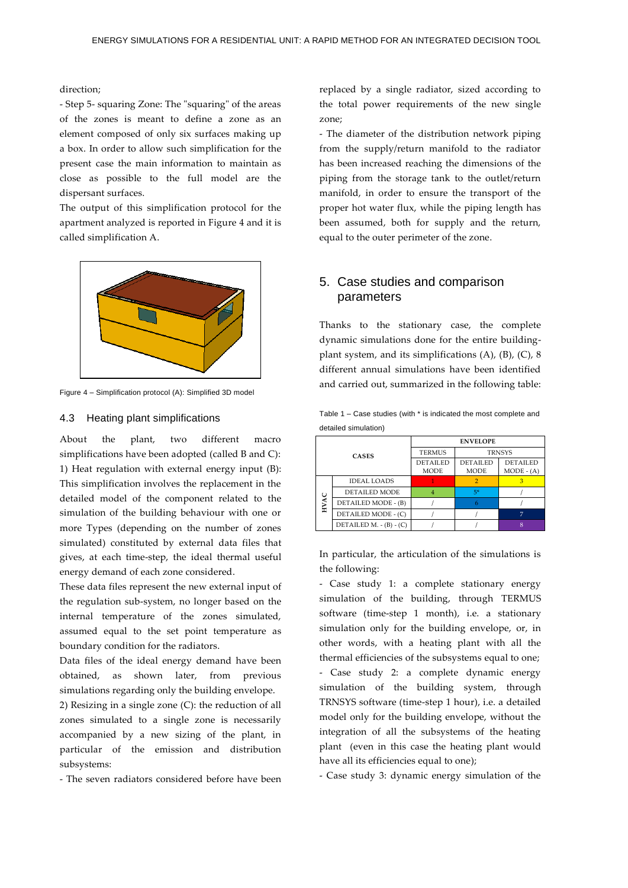direction;

- Step 5- squaring Zone: The "squaring" of the areas of the zones is meant to define a zone as an element composed of only six surfaces making up a box. In order to allow such simplification for the present case the main information to maintain as close as possible to the full model are the dispersant surfaces.

The output of this simplification protocol for the apartment analyzed is reported in Figure 4 and it is called simplification A.



Figure 4 – Simplification protocol (A): Simplified 3D model

#### 4.3 Heating plant simplifications

About the plant, two different macro simplifications have been adopted (called B and C): 1) Heat regulation with external energy input (B): This simplification involves the replacement in the detailed model of the component related to the simulation of the building behaviour with one or more Types (depending on the number of zones simulated) constituted by external data files that gives, at each time-step, the ideal thermal useful energy demand of each zone considered.

These data files represent the new external input of the regulation sub-system, no longer based on the internal temperature of the zones simulated, assumed equal to the set point temperature as boundary condition for the radiators.

Data files of the ideal energy demand have been obtained, as shown later, from previous simulations regarding only the building envelope.

2) Resizing in a single zone (C): the reduction of all zones simulated to a single zone is necessarily accompanied by a new sizing of the plant, in particular of the emission and distribution subsystems:

- The seven radiators considered before have been

replaced by a single radiator, sized according to the total power requirements of the new single zone;

- The diameter of the distribution network piping from the supply/return manifold to the radiator has been increased reaching the dimensions of the piping from the storage tank to the outlet/return manifold, in order to ensure the transport of the proper hot water flux, while the piping length has been assumed, both for supply and the return, equal to the outer perimeter of the zone.

# 5. Case studies and comparison parameters

Thanks to the stationary case, the complete dynamic simulations done for the entire buildingplant system, and its simplifications (A), (B), (C), 8 different annual simulations have been identified and carried out, summarized in the following table:

Table 1 – Case studies (with \* is indicated the most complete and detailed simulation)

| <b>CASES</b> |                         | <b>ENVELOPE</b>                |                                |                                 |  |  |  |
|--------------|-------------------------|--------------------------------|--------------------------------|---------------------------------|--|--|--|
|              |                         | <b>TERMUS</b>                  | <b>TRNSYS</b>                  |                                 |  |  |  |
|              |                         | <b>DETAILED</b><br><b>MODE</b> | <b>DETAILED</b><br><b>MODE</b> | <b>DETAILED</b><br>$MODE - (A)$ |  |  |  |
| HVAC         | <b>IDEAL LOADS</b>      |                                |                                |                                 |  |  |  |
|              | DETAILED MODE           |                                | 5*                             |                                 |  |  |  |
|              | DETAILED MODE - (B)     |                                |                                |                                 |  |  |  |
|              | DETAILED MODE - (C)     |                                |                                | π                               |  |  |  |
|              | DETAILED M. - (B) - (C) |                                |                                |                                 |  |  |  |

In particular, the articulation of the simulations is the following:

- Case study 1: a complete stationary energy simulation of the building, through TERMUS software (time-step 1 month), i.e. a stationary simulation only for the building envelope, or, in other words, with a heating plant with all the thermal efficiencies of the subsystems equal to one; - Case study 2: a complete dynamic energy simulation of the building system, through TRNSYS software (time-step 1 hour), i.e. a detailed model only for the building envelope, without the integration of all the subsystems of the heating plant (even in this case the heating plant would have all its efficiencies equal to one);

- Case study 3: dynamic energy simulation of the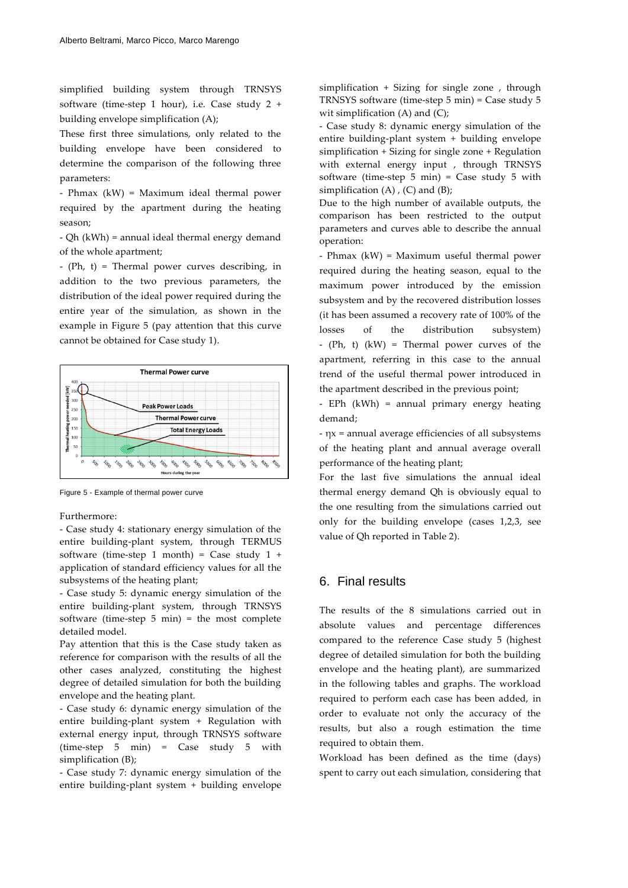simplified building system through TRNSYS software (time-step 1 hour), i.e. Case study 2 + building envelope simplification (A);

These first three simulations, only related to the building envelope have been considered to determine the comparison of the following three parameters:

- Phmax (kW) = Maximum ideal thermal power required by the apartment during the heating season;

- Qh (kWh) = annual ideal thermal energy demand of the whole apartment;

- (Ph, t) = Thermal power curves describing, in addition to the two previous parameters, the distribution of the ideal power required during the entire year of the simulation, as shown in the example in Figure 5 (pay attention that this curve cannot be obtained for Case study 1).



Figure 5 - Example of thermal power curve

#### Furthermore:

- Case study 4: stationary energy simulation of the entire building-plant system, through TERMUS software (time-step 1 month) = Case study  $1 +$ application of standard efficiency values for all the subsystems of the heating plant;

- Case study 5: dynamic energy simulation of the entire building-plant system, through TRNSYS software (time-step 5 min) = the most complete detailed model.

Pay attention that this is the Case study taken as reference for comparison with the results of all the other cases analyzed, constituting the highest degree of detailed simulation for both the building envelope and the heating plant.

- Case study 6: dynamic energy simulation of the entire building-plant system + Regulation with external energy input, through TRNSYS software (time-step 5 min) = Case study 5 with simplification (B);

- Case study 7: dynamic energy simulation of the entire building-plant system + building envelope

simplification + Sizing for single zone , through TRNSYS software (time-step 5 min) = Case study 5 wit simplification  $(A)$  and  $(C)$ ;

- Case study 8: dynamic energy simulation of the entire building-plant system + building envelope simplification + Sizing for single zone + Regulation with external energy input , through TRNSYS software (time-step 5 min) = Case study 5 with simplification (A), (C) and (B);

Due to the high number of available outputs, the comparison has been restricted to the output parameters and curves able to describe the annual operation:

- Phmax (kW) = Maximum useful thermal power required during the heating season, equal to the maximum power introduced by the emission subsystem and by the recovered distribution losses (it has been assumed a recovery rate of 100% of the losses of the distribution subsystem) - (Ph, t) (kW) = Thermal power curves of the apartment, referring in this case to the annual trend of the useful thermal power introduced in the apartment described in the previous point;

- EPh (kWh) = annual primary energy heating demand;

- ηx = annual average efficiencies of all subsystems of the heating plant and annual average overall performance of the heating plant;

For the last five simulations the annual ideal thermal energy demand Qh is obviously equal to the one resulting from the simulations carried out only for the building envelope (cases 1,2,3, see value of Qh reported in Table 2).

# 6. Final results

The results of the 8 simulations carried out in absolute values and percentage differences compared to the reference Case study 5 (highest degree of detailed simulation for both the building envelope and the heating plant), are summarized in the following tables and graphs. The workload required to perform each case has been added, in order to evaluate not only the accuracy of the results, but also a rough estimation the time required to obtain them.

Workload has been defined as the time (days) spent to carry out each simulation, considering that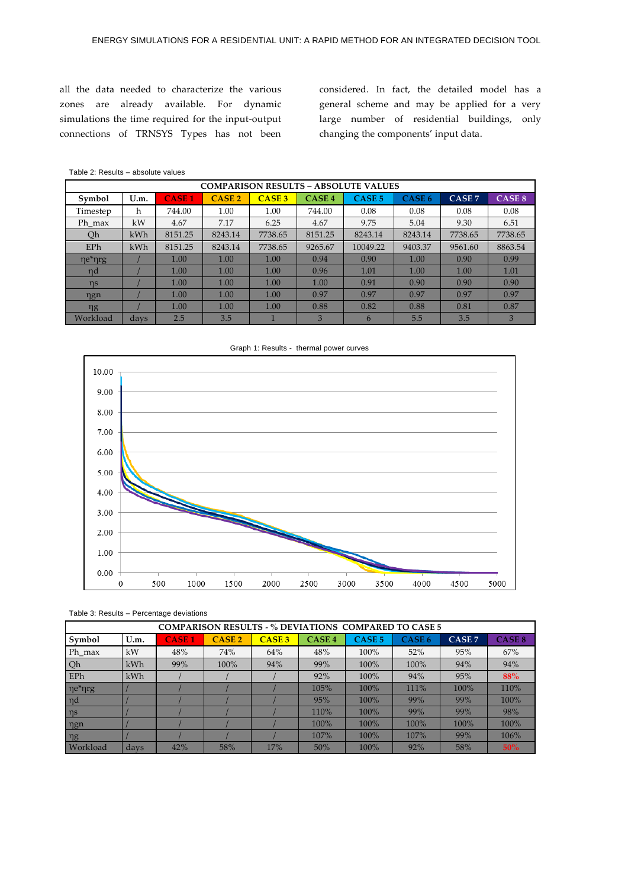all the data needed to characterize the various zones are already available. For dynamic simulations the time required for the input-output connections of TRNSYS Types has not been

considered. In fact, the detailed model has a general scheme and may be applied for a very large number of residential buildings, only changing the components' input data.

| Table 2: Results - absolute values |  |
|------------------------------------|--|
|------------------------------------|--|

| <b>COMPARISON RESULTS - ABSOLUTE VALUES</b> |      |              |               |               |               |                   |                   |                   |         |
|---------------------------------------------|------|--------------|---------------|---------------|---------------|-------------------|-------------------|-------------------|---------|
| Symbol                                      | U.m. | <b>CASE1</b> | <b>CASE 2</b> | <b>CASE 3</b> | <b>CASE 4</b> | CASE <sub>5</sub> | CASE <sub>6</sub> | CASE <sub>7</sub> | CASE 8  |
| Timestep                                    | h    | 744.00       | 1.00          | 1.00          | 744.00        | 0.08              | 0.08              | 0.08              | 0.08    |
| Ph max                                      | kW   | 4.67         | 7.17          | 6.25          | 4.67          | 9.75              | 5.04              | 9.30              | 6.51    |
| Qh                                          | kWh  | 8151.25      | 8243.14       | 7738.65       | 8151.25       | 8243.14           | 8243.14           | 7738.65           | 7738.65 |
| EPh                                         | kWh  | 8151.25      | 8243.14       | 7738.65       | 9265.67       | 10049.22          | 9403.37           | 9561.60           | 8863.54 |
| ne*nrg                                      |      | 1.00         | 1.00          | 1.00          | 0.94          | 0.90              | 1.00              | 0.90              | 0.99    |
| ηd                                          |      | 1.00         | 1.00          | 1.00          | 0.96          | 1.01              | 1.00              | 1.00              | 1.01    |
| $\eta s$                                    |      | 1.00         | 1.00          | 1.00          | 1.00          | 0.91              | 0.90              | 0.90              | 0.90    |
| ηgn                                         |      | 1.00         | 1.00          | 1.00          | 0.97          | 0.97              | 0.97              | 0.97              | 0.97    |
| $\eta$ g                                    |      | 1.00         | 1.00          | 1.00          | 0.88          | 0.82              | 0.88              | 0.81              | 0.87    |
| Workload                                    | days | 2.5          | 3.5           |               | 3             | 6                 | 5.5               | 3.5               | 3       |



Graph 1: Results - thermal power curves

Table 3: Results – Percentage deviations

| <b>COMPARISON RESULTS - % DEVIATIONS COMPARED TO CASE 5</b> |      |              |               |                   |               |                   |               |                   |               |
|-------------------------------------------------------------|------|--------------|---------------|-------------------|---------------|-------------------|---------------|-------------------|---------------|
| Symbol                                                      | U.m. | <b>CASE1</b> | <b>CASE 2</b> | CASE <sub>3</sub> | <b>CASE 4</b> | CASE <sub>5</sub> | <b>CASE 6</b> | CASE <sub>7</sub> | <b>CASE 8</b> |
| Ph max                                                      | kW   | 48%          | 74%           | 64%               | 48%           | 100%              | 52%           | 95%               | 67%           |
| Qh                                                          | kWh  | 99%          | 100%          | 94%               | 99%           | 100%              | 100%          | 94%               | 94%           |
| EPh                                                         | kWh  |              |               |                   | 92%           | 100%              | 94%           | 95%               | 88%           |
| ηe*ηrg                                                      |      |              |               |                   | 105%          | 100%              | 111%          | 100%              | 110%          |
| $\eta d$                                                    |      |              |               |                   | 95%           | 100%              | 99%           | 99%               | 100%          |
| $\n  n$                                                     |      |              |               |                   | 110%          | 100%              | 99%           | 99%               | 98%           |
| $\eta$ gn                                                   |      |              |               |                   | 100%          | 100%              | 100%          | 100%              | 100%          |
| $\n  ng\n$                                                  |      |              |               |                   | 107%          | 100%              | 107%          | 99%               | 106%          |
| Workload                                                    | days | 42%          | 58%           | 17%               | 50%           | 100%              | 92%           | 58%               | 50%           |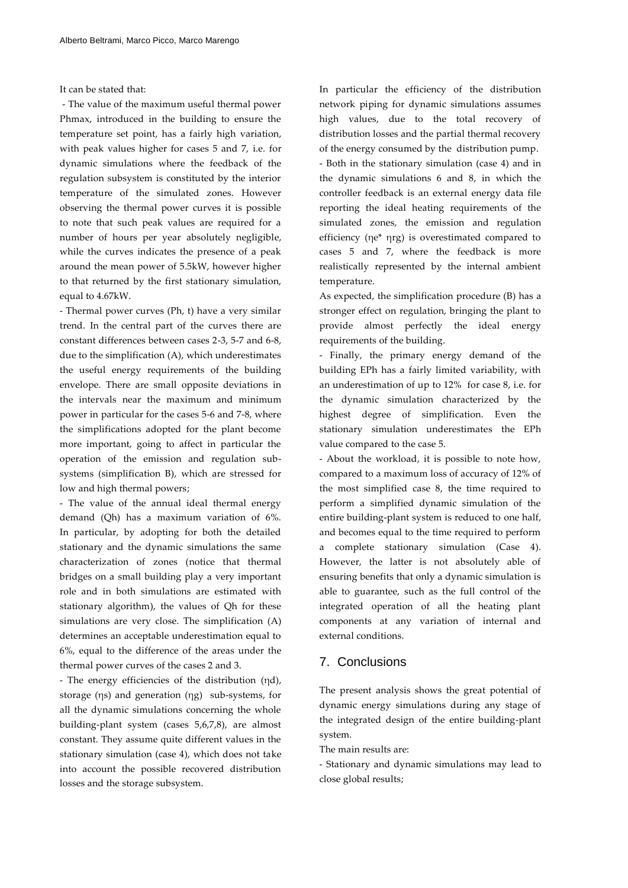It can be stated that:

- The value of the maximum useful thermal power Phmax, introduced in the building to ensure the temperature set point, has a fairly high variation, with peak values higher for cases 5 and 7, i.e. for dynamic simulations where the feedback of the regulation subsystem is constituted by the interior temperature of the simulated zones. However observing the thermal power curves it is possible to note that such peak values are required for a number of hours per year absolutely negligible, while the curves indicates the presence of a peak around the mean power of 5.5kW, however higher to that returned by the first stationary simulation, equal to 4.67kW.

- Thermal power curves (Ph, t) have a very similar trend. In the central part of the curves there are constant differences between cases 2-3, 5-7 and 6-8, due to the simplification (A), which underestimates the useful energy requirements of the building envelope. There are small opposite deviations in the intervals near the maximum and minimum power in particular for the cases 5-6 and 7-8, where the simplifications adopted for the plant become more important, going to affect in particular the operation of the emission and regulation subsystems (simplification B), which are stressed for low and high thermal powers;

- The value of the annual ideal thermal energy demand (Qh) has a maximum variation of 6%. In particular, by adopting for both the detailed stationary and the dynamic simulations the same characterization of zones (notice that thermal bridges on a small building play a very important role and in both simulations are estimated with stationary algorithm), the values of Qh for these simulations are very close. The simplification (A) determines an acceptable underestimation equal to 6%, equal to the difference of the areas under the thermal power curves of the cases 2 and 3.

- The energy efficiencies of the distribution (ηd), storage (ηs) and generation (ηg) sub-systems, for all the dynamic simulations concerning the whole building-plant system (cases 5,6,7,8), are almost constant. They assume quite different values in the stationary simulation (case 4), which does not take into account the possible recovered distribution losses and the storage subsystem.

In particular the efficiency of the distribution network piping for dynamic simulations assumes high values, due to the total recovery of distribution losses and the partial thermal recovery of the energy consumed by the distribution pump. - Both in the stationary simulation (case 4) and in the dynamic simulations 6 and 8, in which the controller feedback is an external energy data file reporting the ideal heating requirements of the simulated zones, the emission and regulation efficiency (ηe\* ηrg) is overestimated compared to cases 5 and 7, where the feedback is more realistically represented by the internal ambient temperature.

As expected, the simplification procedure (B) has a stronger effect on regulation, bringing the plant to provide almost perfectly the ideal energy requirements of the building.

- Finally, the primary energy demand of the building EPh has a fairly limited variability, with an underestimation of up to 12% for case 8, i.e. for the dynamic simulation characterized by the highest degree of simplification. Even the stationary simulation underestimates the EPh value compared to the case 5.

- About the workload, it is possible to note how, compared to a maximum loss of accuracy of 12% of the most simplified case 8, the time required to perform a simplified dynamic simulation of the entire building-plant system is reduced to one half, and becomes equal to the time required to perform a complete stationary simulation (Case 4). However, the latter is not absolutely able of ensuring benefits that only a dynamic simulation is able to guarantee, such as the full control of the integrated operation of all the heating plant components at any variation of internal and external conditions.

# 7. Conclusions

The present analysis shows the great potential of dynamic energy simulations during any stage of the integrated design of the entire building-plant system.

The main results are:

- Stationary and dynamic simulations may lead to close global results;